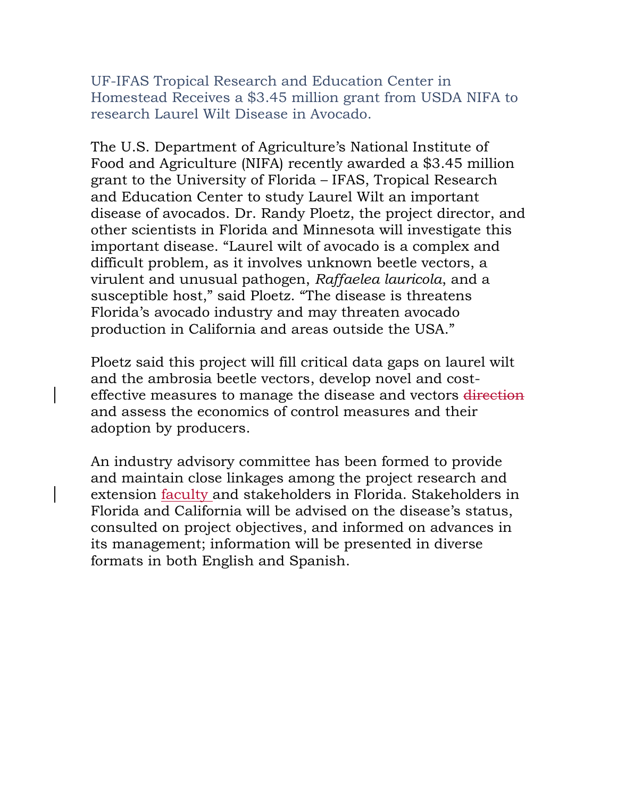UF-IFAS Tropical Research and Education Center in Homestead Receives a \$3.45 million grant from USDA NIFA to research Laurel Wilt Disease in Avocado.

The U.S. Department of Agriculture's National Institute of Food and Agriculture (NIFA) recently awarded a \$3.45 million grant to the University of Florida – IFAS, Tropical Research and Education Center to study Laurel Wilt an important disease of avocados. Dr. Randy Ploetz, the project director, and other scientists in Florida and Minnesota will investigate this important disease. "Laurel wilt of avocado is a complex and difficult problem, as it involves unknown beetle vectors, a virulent and unusual pathogen, *Raffaelea lauricola*, and a susceptible host," said Ploetz. "The disease is threatens Florida's avocado industry and may threaten avocado production in California and areas outside the USA."

Ploetz said this project will fill critical data gaps on laurel wilt and the ambrosia beetle vectors, develop novel and costeffective measures to manage the disease and vectors direction and assess the economics of control measures and their adoption by producers.

An industry advisory committee has been formed to provide and maintain close linkages among the project research and extension faculty and stakeholders in Florida. Stakeholders in Florida and California will be advised on the disease's status, consulted on project objectives, and informed on advances in its management; information will be presented in diverse formats in both English and Spanish.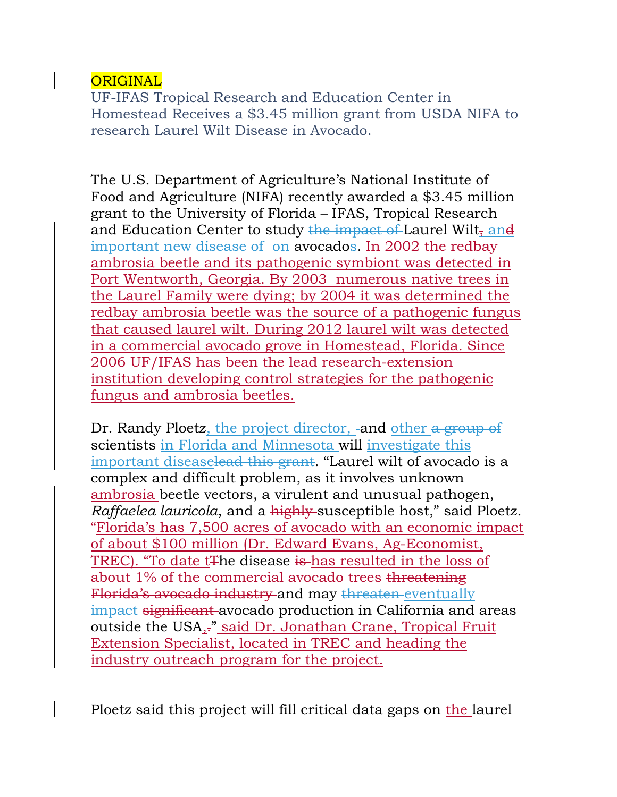## ORIGINAL

UF-IFAS Tropical Research and Education Center in Homestead Receives a \$3.45 million grant from USDA NIFA to research Laurel Wilt Disease in Avocado.

The U.S. Department of Agriculture's National Institute of Food and Agriculture (NIFA) recently awarded a \$3.45 million grant to the University of Florida – IFAS, Tropical Research and Education Center to study the impact of Laurel Wilt, and important new disease of <del>on avocados</del>. In 2002 the redbay ambrosia beetle and its pathogenic symbiont was detected in Port Wentworth, Georgia. By 2003 numerous native trees in the Laurel Family were dying; by 2004 it was determined the redbay ambrosia beetle was the source of a pathogenic fungus that caused laurel wilt. During 2012 laurel wilt was detected in a commercial avocado grove in Homestead, Florida. Since 2006 UF/IFAS has been the lead research-extension institution developing control strategies for the pathogenic fungus and ambrosia beetles.

Dr. Randy Ploetz, the project director, -and other a group of scientists in Florida and Minnesota will investigate this important diseaselead this grant. "Laurel wilt of avocado is a complex and difficult problem, as it involves unknown ambrosia beetle vectors, a virulent and unusual pathogen, *Raffaelea lauricola*, and a highly susceptible host," said Ploetz. "Florida's has 7,500 acres of avocado with an economic impact of about \$100 million (Dr. Edward Evans, Ag-Economist, TREC). "To date t<sub>the</sub> disease is has resulted in the loss of about 1% of the commercial avocado trees threatening Florida's avocado industry and may threaten eventually impact significant avocado production in California and areas outside the USA,<sup>7</sup> said Dr. Jonathan Crane, Tropical Fruit Extension Specialist, located in TREC and heading the industry outreach program for the project.

Ploetz said this project will fill critical data gaps on the laurel